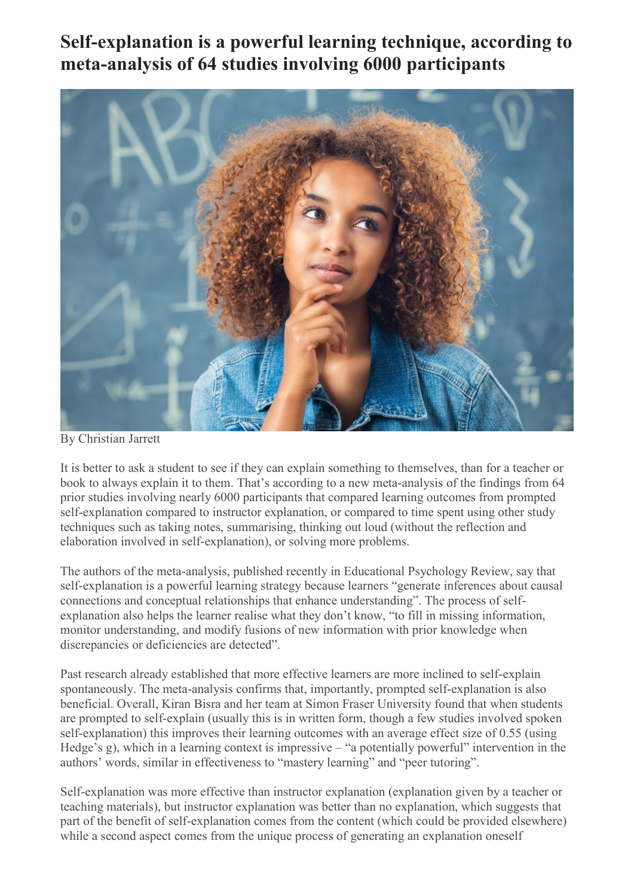**Self-explanation is a powerful learning technique, according to meta-analysis of 64 studies involving 6000 participants**



By Christian Jarrett

It is better to ask a student to see if they can explain something to themselves, than for a teacher or book to always explain it to them. That's according to a new meta-analysis of the findings from 64 prior studies involving nearly 6000 participants that compared learning outcomes from prompted self-explanation compared to instructor explanation, or compared to time spent using other study techniques such as taking notes, summarising, thinking out loud (without the reflection and elaboration involved in self-explanation), or solving more problems.

The authors of the meta-analysis, published recently in Educational Psychology Review, say that self-explanation is a powerful learning strategy because learners "generate inferences about causal connections and conceptual relationships that enhance understanding". The process of selfexplanation also helps the learner realise what they don't know, "to fill in missing information, monitor understanding, and modify fusions of new information with prior knowledge when discrepancies or deficiencies are detected".

Past research already established that more effective learners are more inclined to self-explain spontaneously. The meta-analysis confirms that, importantly, prompted self-explanation is also beneficial. Overall, Kiran Bisra and her team at Simon Fraser University found that when students are prompted to self-explain (usually this is in written form, though a few studies involved spoken self-explanation) this improves their learning outcomes with an average effect size of 0.55 (using Hedge's g), which in a learning context is impressive – "a potentially powerful" intervention in the authors' words, similar in effectiveness to "mastery learning" and "peer tutoring".

Self-explanation was more effective than instructor explanation (explanation given by a teacher or teaching materials), but instructor explanation was better than no explanation, which suggests that part of the benefit of self-explanation comes from the content (which could be provided elsewhere) while a second aspect comes from the unique process of generating an explanation oneself